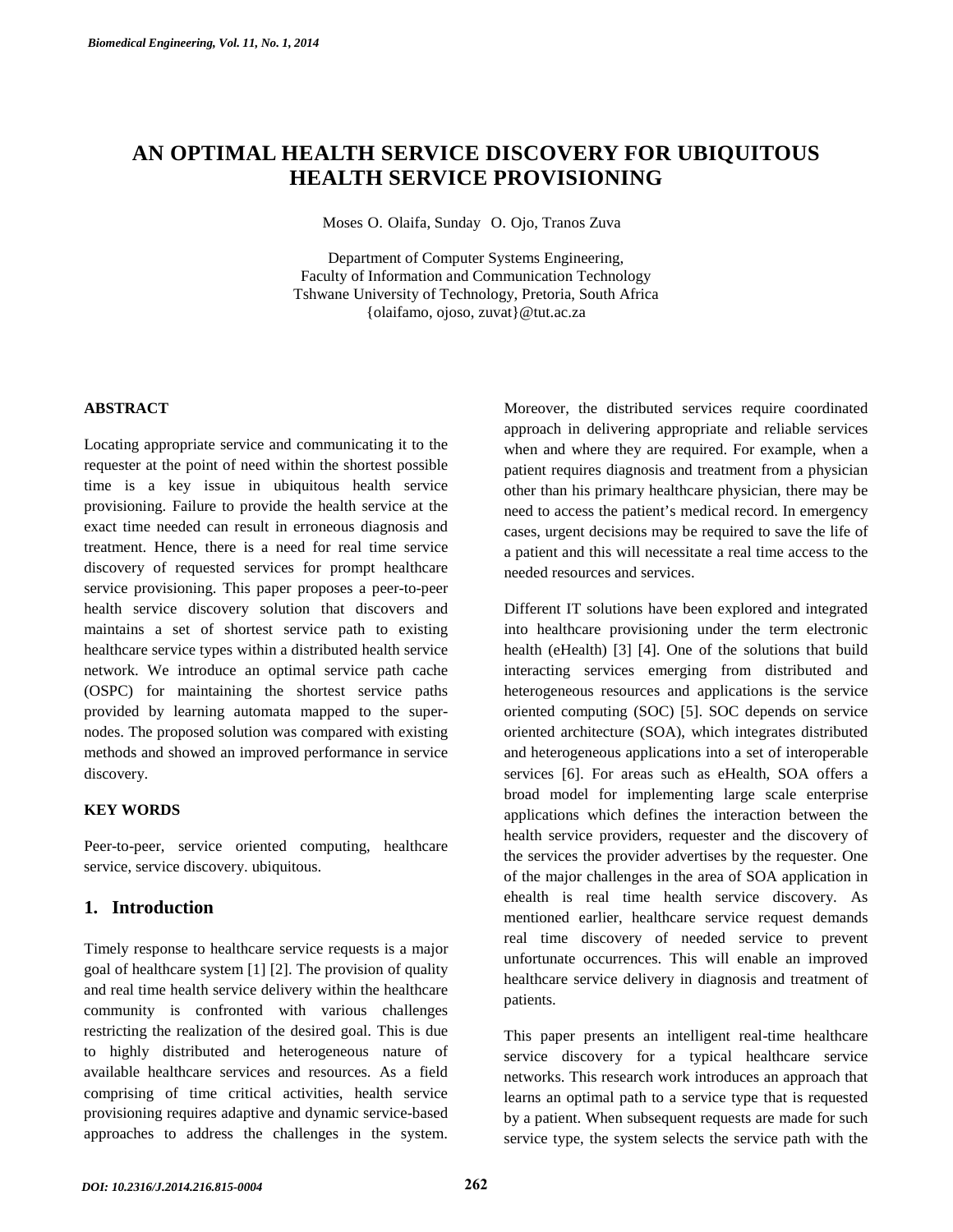# **AN OPTIMAL HEALTH SERVICE DISCOVERY FOR UBIQUITOUS HEALTH SERVICE PROVISIONING**

Moses O. Olaifa, Sunday O. Ojo, Tranos Zuva

Department of Computer Systems Engineering, Faculty of Information and Communication Technology Tshwane University of Technology, Pretoria, South Africa {olaifamo, ojoso, zuvat}@tut.ac.za

#### **ABSTRACT**

Locating appropriate service and communicating it to the requester at the point of need within the shortest possible time is a key issue in ubiquitous health service provisioning. Failure to provide the health service at the exact time needed can result in erroneous diagnosis and treatment. Hence, there is a need for real time service discovery of requested services for prompt healthcare service provisioning. This paper proposes a peer-to-peer health service discovery solution that discovers and maintains a set of shortest service path to existing healthcare service types within a distributed health service network. We introduce an optimal service path cache (OSPC) for maintaining the shortest service paths provided by learning automata mapped to the supernodes. The proposed solution was compared with existing methods and showed an improved performance in service discovery.

#### **KEY WORDS**

Peer-to-peer, service oriented computing, healthcare service, service discovery. ubiquitous.

## **1. Introduction**

Timely response to healthcare service requests is a major goal of healthcare system [\[1\]](#page-6-0) [\[2\]](#page-6-1). The provision of quality and real time health service delivery within the healthcare community is confronted with various challenges restricting the realization of the desired goal. This is due to highly distributed and heterogeneous nature of available healthcare services and resources. As a field comprising of time critical activities, health service provisioning requires adaptive and dynamic service-based approaches to address the challenges in the system.

Moreover, the distributed services require coordinated approach in delivering appropriate and reliable services when and where they are required. For example, when a patient requires diagnosis and treatment from a physician other than his primary healthcare physician, there may be need to access the patient's medical record. In emergency cases, urgent decisions may be required to save the life of a patient and this will necessitate a real time access to the needed resources and services.

Different IT solutions have been explored and integrated into healthcare provisioning under the term electronic health (eHealth) [\[3\]](#page-6-2) [\[4\]](#page-6-3). One of the solutions that build interacting services emerging from distributed and heterogeneous resources and applications is the service oriented computing (SOC) [\[5\]](#page-6-4). SOC depends on service oriented architecture (SOA), which integrates distributed and heterogeneous applications into a set of interoperable services [\[6\]](#page-6-5). For areas such as eHealth, SOA offers a broad model for implementing large scale enterprise applications which defines the interaction between the health service providers, requester and the discovery of the services the provider advertises by the requester. One of the major challenges in the area of SOA application in ehealth is real time health service discovery. As mentioned earlier, healthcare service request demands real time discovery of needed service to prevent unfortunate occurrences. This will enable an improved healthcare service delivery in diagnosis and treatment of patients.

This paper presents an intelligent real-time healthcare service discovery for a typical healthcare service networks. This research work introduces an approach that learns an optimal path to a service type that is requested by a patient. When subsequent requests are made for such service type, the system selects the service path with the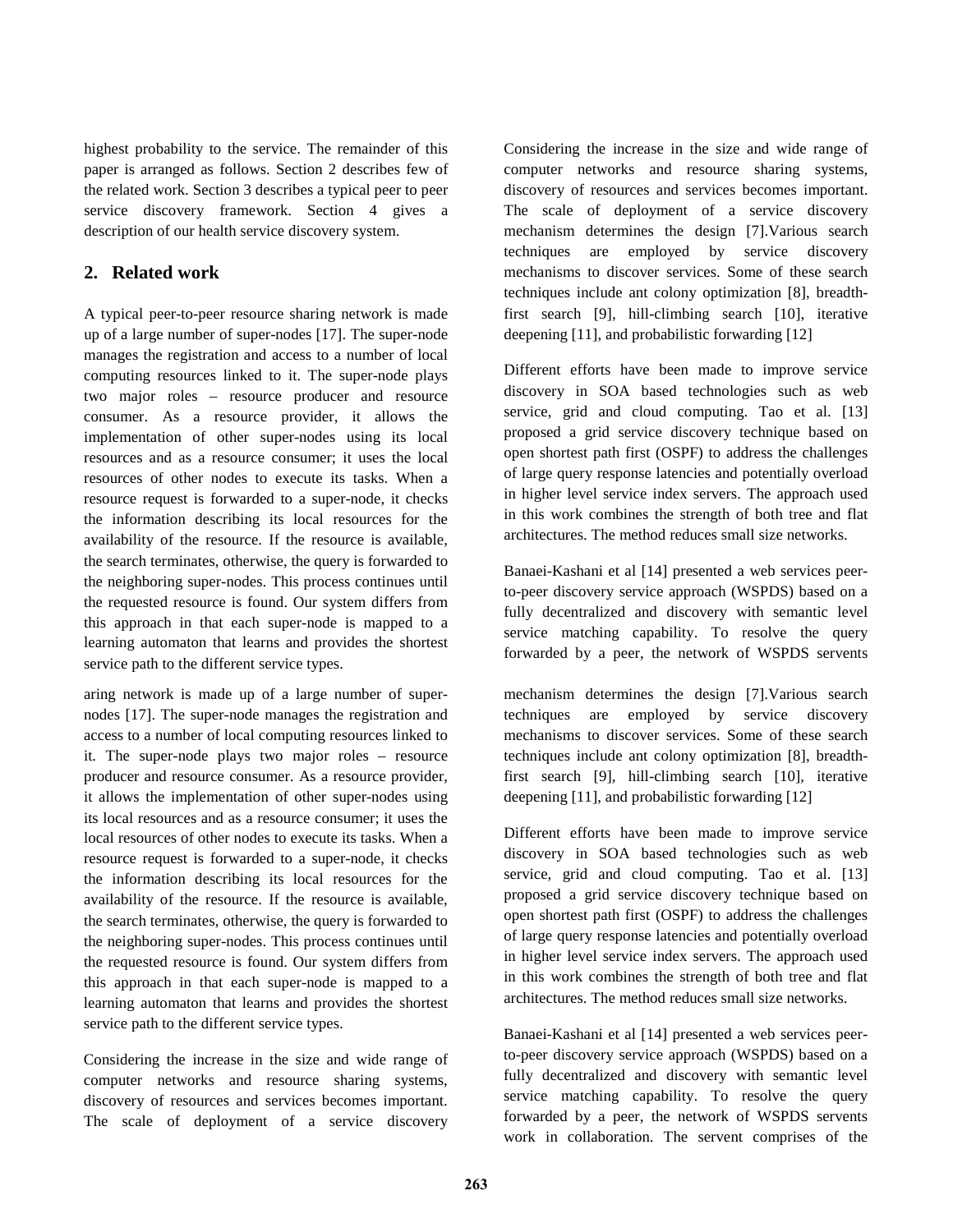highest probability to the service. The remainder of this paper is arranged as follows. Section 2 describes few of the related work. Section 3 describes a typical peer to peer service discovery framework. Section 4 gives a description of our health service discovery system.

## **2. Related work**

A typical peer-to-peer resource sharing network is made up of a large number of super-nodes [\[17\]](#page-6-6). The super-node manages the registration and access to a number of local computing resources linked to it. The super-node plays two major roles – resource producer and resource consumer. As a resource provider, it allows the implementation of other super-nodes using its local resources and as a resource consumer; it uses the local resources of other nodes to execute its tasks. When a resource request is forwarded to a super-node, it checks the information describing its local resources for the availability of the resource. If the resource is available, the search terminates, otherwise, the query is forwarded to the neighboring super-nodes. This process continues until the requested resource is found. Our system differs from this approach in that each super-node is mapped to a learning automaton that learns and provides the shortest service path to the different service types.

aring network is made up of a large number of supernodes [\[17\]](#page-6-6). The super-node manages the registration and access to a number of local computing resources linked to it. The super-node plays two major roles – resource producer and resource consumer. As a resource provider, it allows the implementation of other super-nodes using its local resources and as a resource consumer; it uses the local resources of other nodes to execute its tasks. When a resource request is forwarded to a super-node, it checks the information describing its local resources for the availability of the resource. If the resource is available, the search terminates, otherwise, the query is forwarded to the neighboring super-nodes. This process continues until the requested resource is found. Our system differs from this approach in that each super-node is mapped to a learning automaton that learns and provides the shortest service path to the different service types.

Considering the increase in the size and wide range of computer networks and resource sharing systems, discovery of resources and services becomes important. The scale of deployment of a service discovery

Considering the increase in the size and wide range of computer networks and resource sharing systems, discovery of resources and services becomes important. The scale of deployment of a service discovery mechanism determines the design [\[7\]](#page-6-7).Various search techniques are employed by service discovery mechanisms to discover services. Some of these search techniques include ant colony optimization [\[8\]](#page-6-8), breadthfirst search [\[9\]](#page-6-9), hill-climbing search [\[10\]](#page-6-10), iterative deepening [\[11\]](#page-6-11), and probabilistic forwarding [\[12\]](#page-6-12)

Different efforts have been made to improve service discovery in SOA based technologies such as web service, grid and cloud computing. Tao et al. [\[13\]](#page-6-13) proposed a grid service discovery technique based on open shortest path first (OSPF) to address the challenges of large query response latencies and potentially overload in higher level service index servers. The approach used in this work combines the strength of both tree and flat architectures. The method reduces small size networks.

Banaei-Kashani et al [\[14\]](#page-6-14) presented a web services peerto-peer discovery service approach (WSPDS) based on a fully decentralized and discovery with semantic level service matching capability. To resolve the query forwarded by a peer, the network of WSPDS servents

mechanism determines the design [\[7\]](#page-6-7).Various search techniques are employed by service discovery mechanisms to discover services. Some of these search techniques include ant colony optimization [\[8\]](#page-6-8), breadthfirst search [\[9\]](#page-6-9), hill-climbing search [\[10\]](#page-6-10), iterative deepening [\[11\]](#page-6-11), and probabilistic forwarding [\[12\]](#page-6-12)

Different efforts have been made to improve service discovery in SOA based technologies such as web service, grid and cloud computing. Tao et al. [\[13\]](#page-6-13) proposed a grid service discovery technique based on open shortest path first (OSPF) to address the challenges of large query response latencies and potentially overload in higher level service index servers. The approach used in this work combines the strength of both tree and flat architectures. The method reduces small size networks.

Banaei-Kashani et al [\[14\]](#page-6-14) presented a web services peerto-peer discovery service approach (WSPDS) based on a fully decentralized and discovery with semantic level service matching capability. To resolve the query forwarded by a peer, the network of WSPDS servents work in collaboration. The servent comprises of the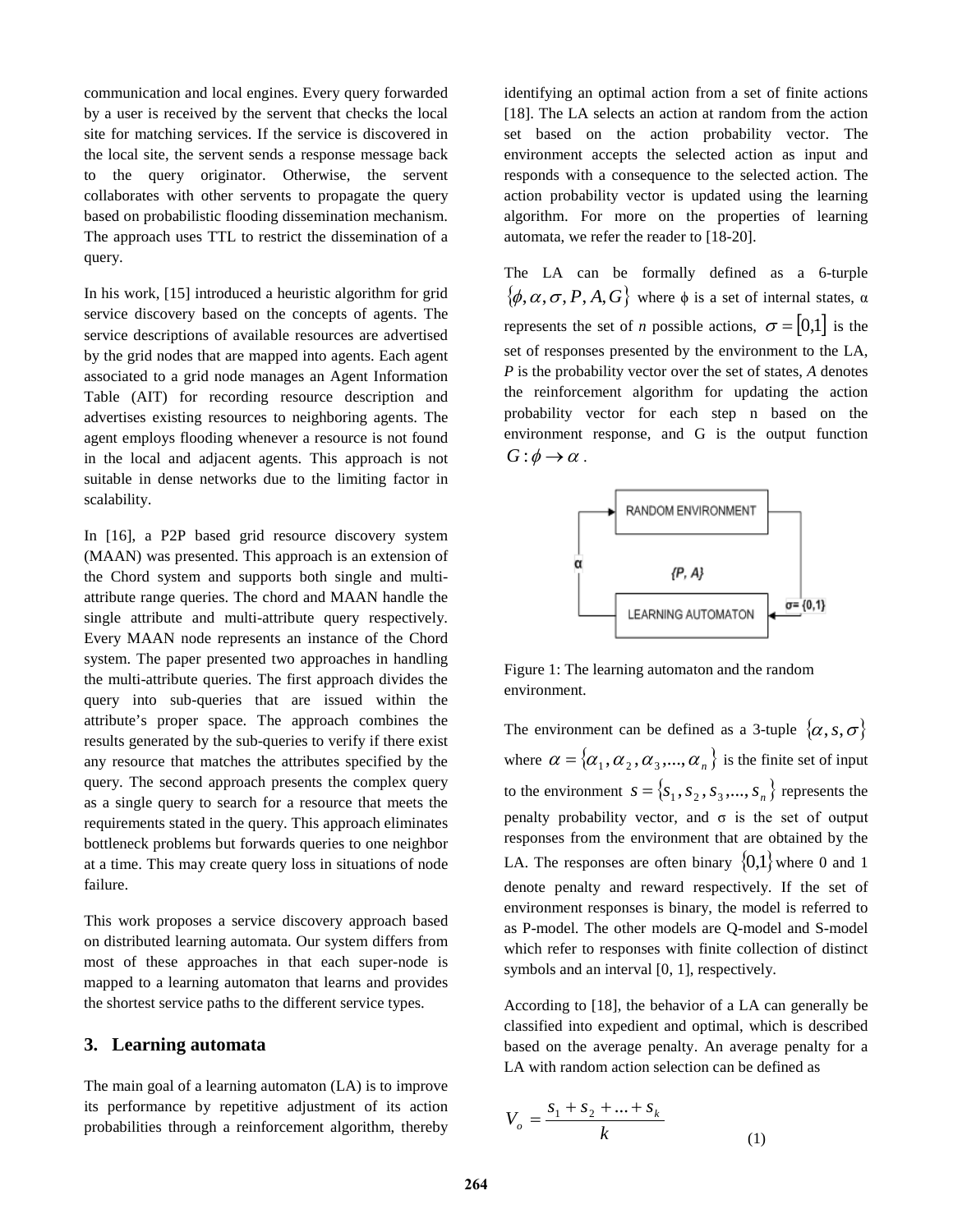communication and local engines. Every query forwarded by a user is received by the servent that checks the local site for matching services. If the service is discovered in the local site, the servent sends a response message back to the query originator. Otherwise, the servent collaborates with other servents to propagate the query based on probabilistic flooding dissemination mechanism. The approach uses TTL to restrict the dissemination of a query.

In his work, [\[15\]](#page-6-15) introduced a heuristic algorithm for grid service discovery based on the concepts of agents. The service descriptions of available resources are advertised by the grid nodes that are mapped into agents. Each agent associated to a grid node manages an Agent Information Table (AIT) for recording resource description and advertises existing resources to neighboring agents. The agent employs flooding whenever a resource is not found in the local and adjacent agents. This approach is not suitable in dense networks due to the limiting factor in scalability.

In [\[16\]](#page-6-16), a P2P based grid resource discovery system (MAAN) was presented. This approach is an extension of the Chord system and supports both single and multiattribute range queries. The chord and MAAN handle the single attribute and multi-attribute query respectively. Every MAAN node represents an instance of the Chord system. The paper presented two approaches in handling the multi-attribute queries. The first approach divides the query into sub-queries that are issued within the attribute's proper space. The approach combines the results generated by the sub-queries to verify if there exist any resource that matches the attributes specified by the query. The second approach presents the complex query as a single query to search for a resource that meets the requirements stated in the query. This approach eliminates bottleneck problems but forwards queries to one neighbor at a time. This may create query loss in situations of node failure.

This work proposes a service discovery approach based on distributed learning automata. Our system differs from most of these approaches in that each super-node is mapped to a learning automaton that learns and provides the shortest service paths to the different service types.

### **3. Learning automata**

The main goal of a learning automaton (LA) is to improve its performance by repetitive adjustment of its action probabilities through a reinforcement algorithm, thereby

identifying an optimal action from a set of finite actions [\[18\]](#page-7-0). The LA selects an action at random from the action set based on the action probability vector. The environment accepts the selected action as input and responds with a consequence to the selected action. The action probability vector is updated using the learning algorithm. For more on the properties of learning automata, we refer the reader to [\[18-20\]](#page-7-0).

The LA can be formally defined as a 6-turple  $\{\phi, \alpha, \sigma, P, A, G\}$  where  $\phi$  is a set of internal states,  $\alpha$ represents the set of *n* possible actions,  $\sigma = [0,1]$  is the set of responses presented by the environment to the LA, *P* is the probability vector over the set of states, *A* denotes the reinforcement algorithm for updating the action probability vector for each step n based on the environment response, and G is the output function  $G: \phi \rightarrow \alpha$ .



Figure 1: The learning automaton and the random environment.

The environment can be defined as a 3-tuple  $\{\alpha, s, \sigma\}$ where  $\alpha = {\alpha_1, \alpha_2, \alpha_3, ..., \alpha_n}$  is the finite set of input to the environment  $s = \{s_1, s_2, s_3, ..., s_n\}$  represents the penalty probability vector, and  $\sigma$  is the set of output responses from the environment that are obtained by the LA. The responses are often binary  ${0,1}$  where 0 and 1 denote penalty and reward respectively. If the set of environment responses is binary, the model is referred to as P-model. The other models are Q-model and S-model which refer to responses with finite collection of distinct symbols and an interval [0, 1], respectively.

According to [\[18\]](#page-7-0), the behavior of a LA can generally be classified into expedient and optimal, which is described based on the average penalty. An average penalty for a LA with random action selection can be defined as

$$
V_o = \frac{s_1 + s_2 + \dots + s_k}{k}
$$
 (1)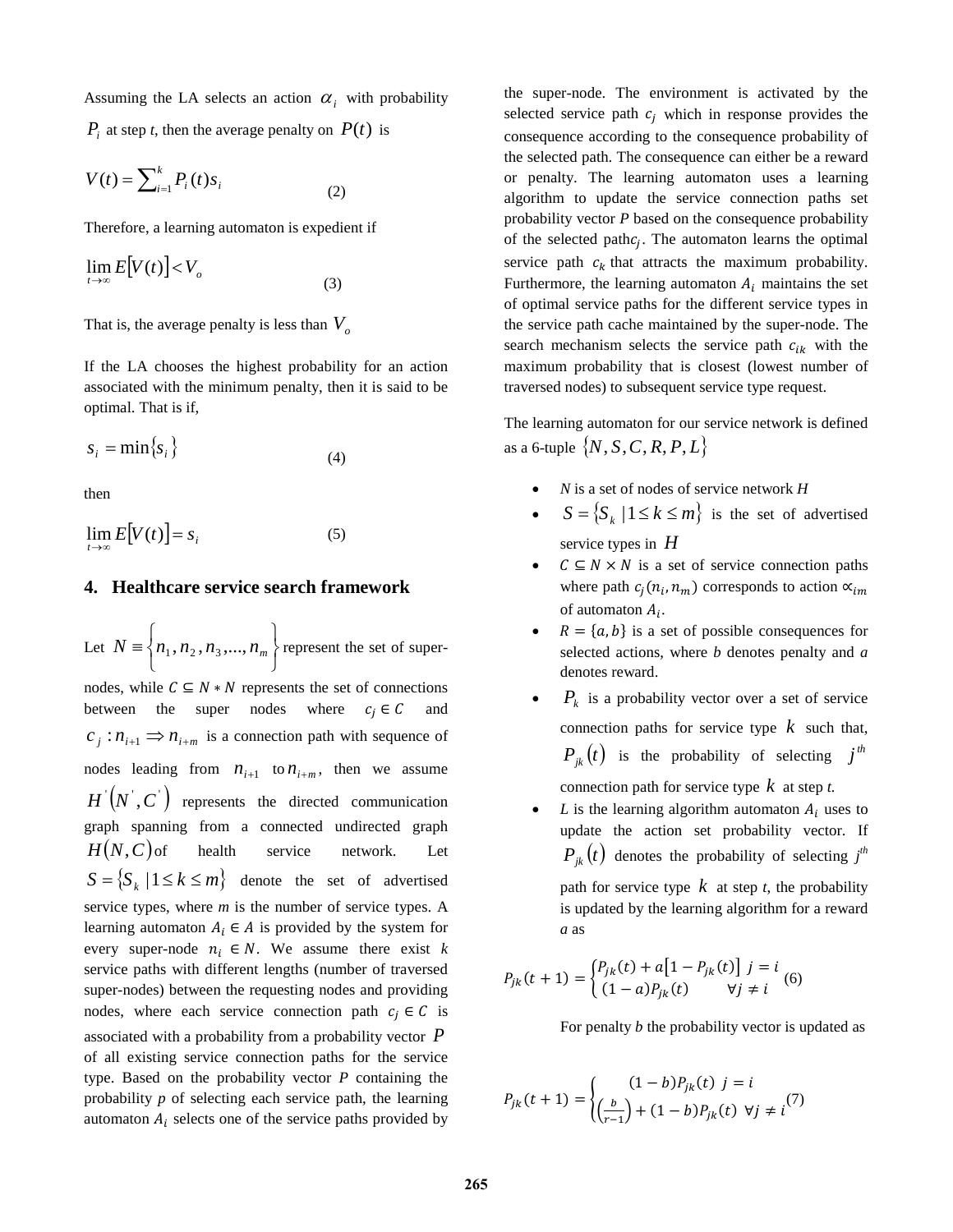Assuming the LA selects an action  $\alpha_i$  with probability

 $P_i$  at step *t*, then the average penalty on  $P(t)$  is

$$
V(t) = \sum_{i=1}^{k} P_i(t) s_i
$$
 (2)

Therefore, a learning automaton is expedient if

$$
\lim_{t \to \infty} E[V(t)] < V_o \tag{3}
$$

That is, the average penalty is less than  $V<sub>o</sub>$ 

If the LA chooses the highest probability for an action associated with the minimum penalty, then it is said to be optimal. That is if,

$$
s_i = \min\{s_i\} \tag{4}
$$

then

$$
\lim_{t \to \infty} E[V(t)] = s_i \tag{5}
$$

#### **4. Healthcare service search framework**

Let J  $\left\{ \right\}$  $\mathbf{I}$  $\overline{\mathcal{L}}$  $N \equiv \left\{ n_1, n_2, n_3, ..., n_m \right\}$  represent the set of supernodes, while  $C \subseteq N * N$  represents the set of connections between the super nodes where  $c_i \in C$  and  $c_i$  :  $n_{i+1} \implies n_{i+m}$  is a connection path with sequence of nodes leading from  $n_{i+1}$  to  $n_{i+m}$ , then we assume  $H'(N', C')$  represents the directed communication graph spanning from a connected undirected graph  $H(N, C)$  of health service network. Let  ${S = \{ S_k \mid 1 \le k \le m \}}$  denote the set of advertised service types, where *m* is the number of service types. A learning automaton  $A_i \in A$  is provided by the system for every super-node  $n_i \in N$ . We assume there exist *k* service paths with different lengths (number of traversed super-nodes) between the requesting nodes and providing nodes, where each service connection path  $c_i \in \mathcal{C}$  is associated with a probability from a probability vector *P* of all existing service connection paths for the service type. Based on the probability vector *P* containing the probability *p* of selecting each service path, the learning automaton  $A_i$  selects one of the service paths provided by the super-node. The environment is activated by the selected service path  $c_i$  which in response provides the consequence according to the consequence probability of the selected path. The consequence can either be a reward or penalty. The learning automaton uses a learning algorithm to update the service connection paths set probability vector *P* based on the consequence probability of the selected path $c_i$ . The automaton learns the optimal service path  $c_k$  that attracts the maximum probability. Furthermore, the learning automaton  $A_i$  maintains the set of optimal service paths for the different service types in the service path cache maintained by the super-node. The search mechanism selects the service path  $c_{ik}$  with the maximum probability that is closest (lowest number of traversed nodes) to subsequent service type request.

The learning automaton for our service network is defined as a 6-tuple  $\{N, S, C, R, P, L\}$ 

- *N* is a set of nodes of service network *H*
- $S = \{ S_k \mid 1 \leq k \leq m \}$  is the set of advertised service types in *H*
- $C \subseteq N \times N$  is a set of service connection paths where path  $c_j(n_i, n_m)$  corresponds to action  $\alpha_{im}$ of automaton  $A_i$ .
- $R = \{a, b\}$  is a set of possible consequences for selected actions, where *b* denotes penalty and *a* denotes reward.
- $P_k$  is a probability vector over a set of service connection paths for service type *k* such that,  $P_{ik}(t)$  is the probability of selecting *j*<sup>th</sup> connection path for service type *k* at step *t.*
- $L$  is the learning algorithm automaton  $A_i$  uses to update the action set probability vector. If  $P_{jk} (t)$  denotes the probability of selecting  $j^{th}$ path for service type  $k$  at step  $t$ , the probability is updated by the learning algorithm for a reward *a* as

$$
P_{jk}(t+1) = \begin{cases} P_{jk}(t) + a[1 - P_{jk}(t)] \ j = i \\ (1 - a)P_{jk}(t) \qquad \forall j \neq i \end{cases} (6)
$$

For penalty *b* the probability vector is updated as

$$
P_{jk}(t+1) = \begin{cases} (1-b)P_{jk}(t) \ j = i \\ \left(\frac{b}{r-1}\right) + (1-b)P_{jk}(t) \ \forall j \neq i \end{cases} (7)
$$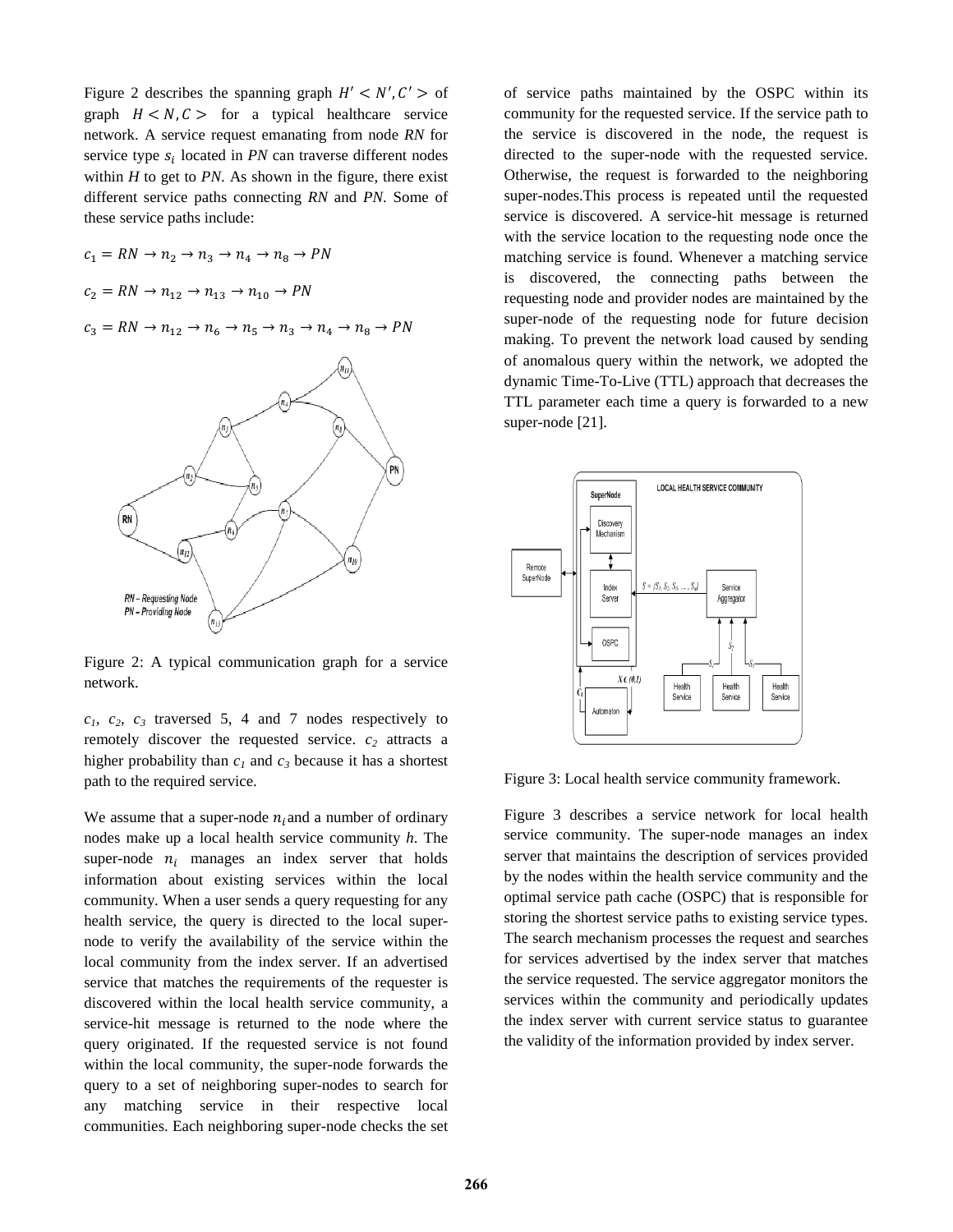Figure 2 describes the spanning graph  $H' < N', C' >$  of graph  $H < N, C >$  for a typical healthcare service network. A service request emanating from node *RN* for service type  $s_i$  located in *PN* can traverse different nodes within  $H$  to get to  $PN$ . As shown in the figure, there exist different service paths connecting *RN* and *PN*. Some of these service paths include:

 $c_1 = RN \rightarrow n_2 \rightarrow n_3 \rightarrow n_4 \rightarrow n_8 \rightarrow PN$  $c_2 = RN \to n_{12} \to n_{13} \to n_{10} \to PN$  $c_3 = RN \rightarrow n_{12} \rightarrow n_6 \rightarrow n_5 \rightarrow n_3 \rightarrow n_4 \rightarrow n_8 \rightarrow PN$ 



Figure 2: A typical communication graph for a service network.

 $c_1$ ,  $c_2$ ,  $c_3$  traversed 5, 4 and 7 nodes respectively to remotely discover the requested service.  $c_2$  attracts a higher probability than  $c_1$  and  $c_3$  because it has a shortest path to the required service.

We assume that a super-node  $n_i$  and a number of ordinary nodes make up a local health service community *h*. The super-node  $n_i$  manages an index server that holds information about existing services within the local community. When a user sends a query requesting for any health service, the query is directed to the local supernode to verify the availability of the service within the local community from the index server. If an advertised service that matches the requirements of the requester is discovered within the local health service community, a service-hit message is returned to the node where the query originated. If the requested service is not found within the local community, the super-node forwards the query to a set of neighboring super-nodes to search for any matching service in their respective local communities. Each neighboring super-node checks the set

of service paths maintained by the OSPC within its community for the requested service. If the service path to the service is discovered in the node, the request is directed to the super-node with the requested service. Otherwise, the request is forwarded to the neighboring super-nodes.This process is repeated until the requested service is discovered. A service-hit message is returned with the service location to the requesting node once the matching service is found. Whenever a matching service is discovered, the connecting paths between the requesting node and provider nodes are maintained by the super-node of the requesting node for future decision making. To prevent the network load caused by sending of anomalous query within the network, we adopted the dynamic Time-To-Live (TTL) approach that decreases the TTL parameter each time a query is forwarded to a new super-node [\[21\]](#page-7-1).



Figure 3: Local health service community framework.

Figure 3 describes a service network for local health service community. The super-node manages an index server that maintains the description of services provided by the nodes within the health service community and the optimal service path cache (OSPC) that is responsible for storing the shortest service paths to existing service types. The search mechanism processes the request and searches for services advertised by the index server that matches the service requested. The service aggregator monitors the services within the community and periodically updates the index server with current service status to guarantee the validity of the information provided by index server.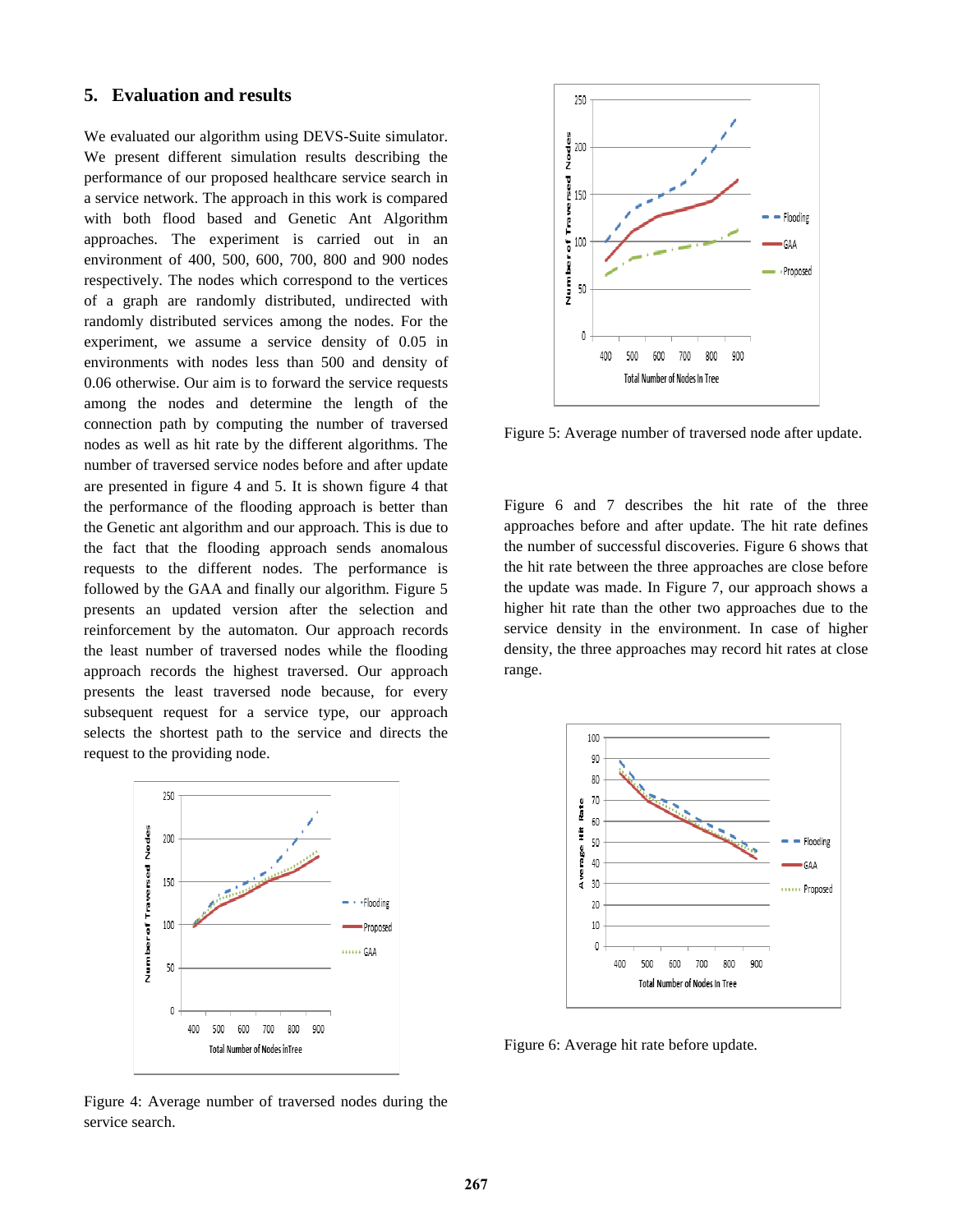### **5. Evaluation and results**

We evaluated our algorithm using DEVS-Suite simulator. We present different simulation results describing the performance of our proposed healthcare service search in a service network. The approach in this work is compared with both flood based and Genetic Ant Algorithm approaches. The experiment is carried out in an environment of 400, 500, 600, 700, 800 and 900 nodes respectively. The nodes which correspond to the vertices of a graph are randomly distributed, undirected with randomly distributed services among the nodes. For the experiment, we assume a service density of 0.05 in environments with nodes less than 500 and density of 0.06 otherwise. Our aim is to forward the service requests among the nodes and determine the length of the connection path by computing the number of traversed nodes as well as hit rate by the different algorithms. The number of traversed service nodes before and after update are presented in figure 4 and 5. It is shown figure 4 that the performance of the flooding approach is better than the Genetic ant algorithm and our approach. This is due to the fact that the flooding approach sends anomalous requests to the different nodes. The performance is followed by the GAA and finally our algorithm. Figure 5 presents an updated version after the selection and reinforcement by the automaton. Our approach records the least number of traversed nodes while the flooding approach records the highest traversed. Our approach presents the least traversed node because, for every subsequent request for a service type, our approach selects the shortest path to the service and directs the request to the providing node.



Figure 4: Average number of traversed nodes during the service search.



Figure 5: Average number of traversed node after update.

Figure 6 and 7 describes the hit rate of the three approaches before and after update. The hit rate defines the number of successful discoveries. Figure 6 shows that the hit rate between the three approaches are close before the update was made. In Figure 7, our approach shows a higher hit rate than the other two approaches due to the service density in the environment. In case of higher density, the three approaches may record hit rates at close range.



Figure 6: Average hit rate before update.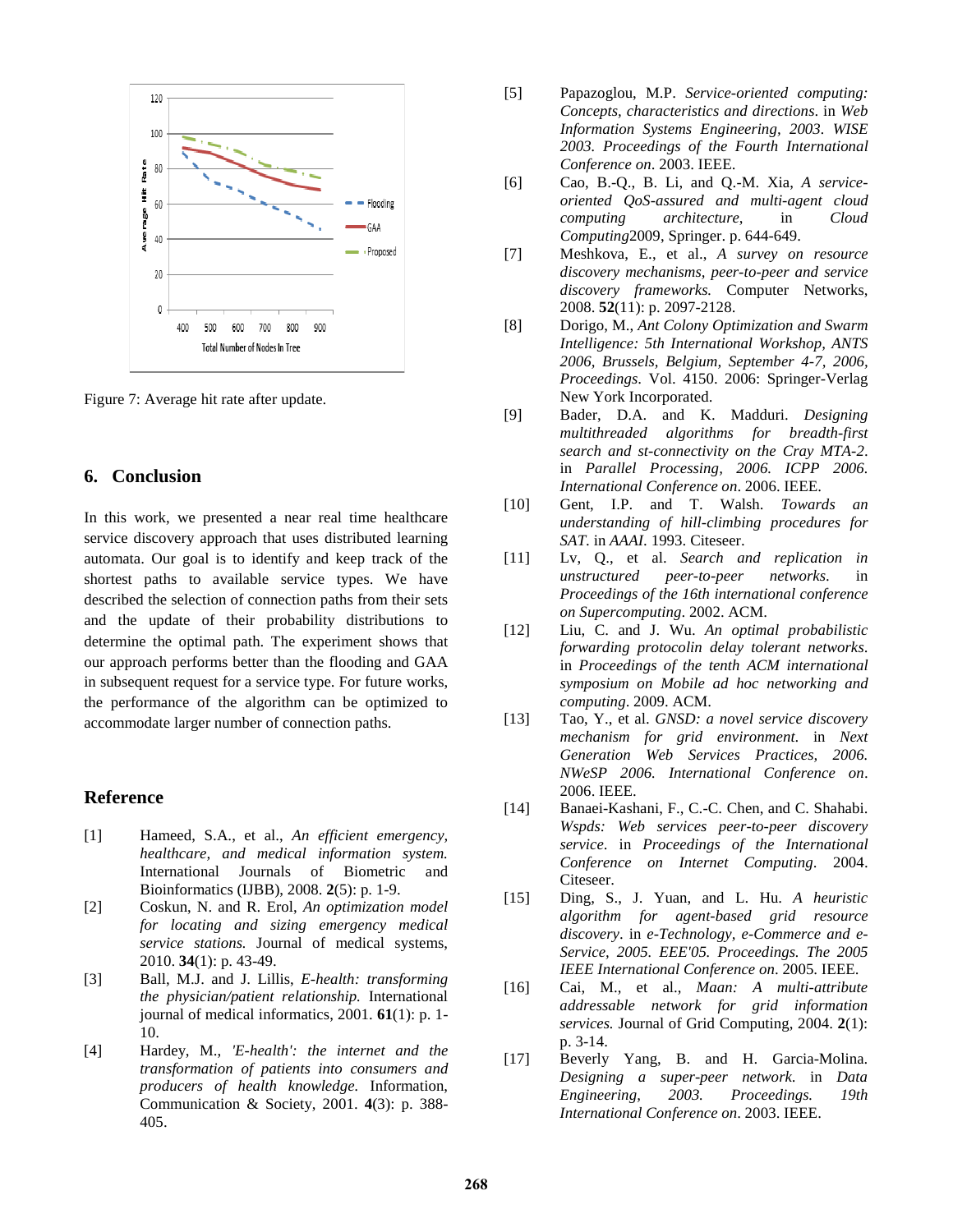

Figure 7: Average hit rate after update.

#### **6. Conclusion**

In this work, we presented a near real time healthcare service discovery approach that uses distributed learning automata. Our goal is to identify and keep track of the shortest paths to available service types. We have described the selection of connection paths from their sets and the update of their probability distributions to determine the optimal path. The experiment shows that our approach performs better than the flooding and GAA in subsequent request for a service type. For future works, the performance of the algorithm can be optimized to accommodate larger number of connection paths.

## **Reference**

- <span id="page-6-0"></span>[1] Hameed, S.A., et al., *An efficient emergency, healthcare, and medical information system.* International Journals of Biometric and Bioinformatics (IJBB), 2008. **2**(5): p. 1-9.
- <span id="page-6-1"></span>[2] Coskun, N. and R. Erol, *An optimization model for locating and sizing emergency medical service stations.* Journal of medical systems, 2010. **34**(1): p. 43-49.
- <span id="page-6-2"></span>[3] Ball, M.J. and J. Lillis, *E-health: transforming the physician/patient relationship.* International journal of medical informatics, 2001. **61**(1): p. 1- 10.
- <span id="page-6-3"></span>[4] Hardey, M., *'E-health': the internet and the transformation of patients into consumers and producers of health knowledge.* Information, Communication & Society, 2001. **4**(3): p. 388- 405.
- <span id="page-6-4"></span>[5] Papazoglou, M.P. *Service-oriented computing: Concepts, characteristics and directions*. in *Web Information Systems Engineering, 2003. WISE 2003. Proceedings of the Fourth International Conference on*. 2003. IEEE.
- <span id="page-6-5"></span>[6] Cao, B.-Q., B. Li, and Q.-M. Xia, *A serviceoriented QoS-assured and multi-agent cloud computing architecture*, in *Cloud Computing*2009, Springer. p. 644-649.
- <span id="page-6-7"></span>[7] Meshkova, E., et al., *A survey on resource discovery mechanisms, peer-to-peer and service discovery frameworks.* Computer Networks, 2008. **52**(11): p. 2097-2128.
- <span id="page-6-8"></span>[8] Dorigo, M., *Ant Colony Optimization and Swarm Intelligence: 5th International Workshop, ANTS 2006, Brussels, Belgium, September 4-7, 2006, Proceedings*. Vol. 4150. 2006: Springer-Verlag New York Incorporated.
- <span id="page-6-9"></span>[9] Bader, D.A. and K. Madduri. *Designing multithreaded algorithms for breadth-first search and st-connectivity on the Cray MTA-2*. in *Parallel Processing, 2006. ICPP 2006. International Conference on*. 2006. IEEE.
- <span id="page-6-10"></span>[10] Gent, I.P. and T. Walsh. *Towards an understanding of hill-climbing procedures for SAT*. in *AAAI*. 1993. Citeseer.
- <span id="page-6-11"></span>[11] Lv, Q., et al. *Search and replication in unstructured peer-to-peer networks*. in *Proceedings of the 16th international conference on Supercomputing*. 2002. ACM.
- <span id="page-6-12"></span>[12] Liu, C. and J. Wu. *An optimal probabilistic forwarding protocolin delay tolerant networks*. in *Proceedings of the tenth ACM international symposium on Mobile ad hoc networking and computing*. 2009. ACM.
- <span id="page-6-13"></span>[13] Tao, Y., et al. *GNSD: a novel service discovery mechanism for grid environment*. in *Next Generation Web Services Practices, 2006. NWeSP 2006. International Conference on*. 2006. IEEE.
- <span id="page-6-14"></span>[14] Banaei-Kashani, F., C.-C. Chen, and C. Shahabi. *Wspds: Web services peer-to-peer discovery service*. in *Proceedings of the International Conference on Internet Computing*. 2004. Citeseer.
- <span id="page-6-15"></span>[15] Ding, S., J. Yuan, and L. Hu. *A heuristic algorithm for agent-based grid resource discovery*. in *e-Technology, e-Commerce and e-Service, 2005. EEE'05. Proceedings. The 2005 IEEE International Conference on*. 2005. IEEE.
- <span id="page-6-16"></span>[16] Cai, M., et al., *Maan: A multi-attribute addressable network for grid information services.* Journal of Grid Computing, 2004. **2**(1): p. 3-14.
- <span id="page-6-6"></span>[17] Beverly Yang, B. and H. Garcia-Molina. *Designing a super-peer network*. in *Data Engineering, 2003. Proceedings. 19th International Conference on*. 2003. IEEE.